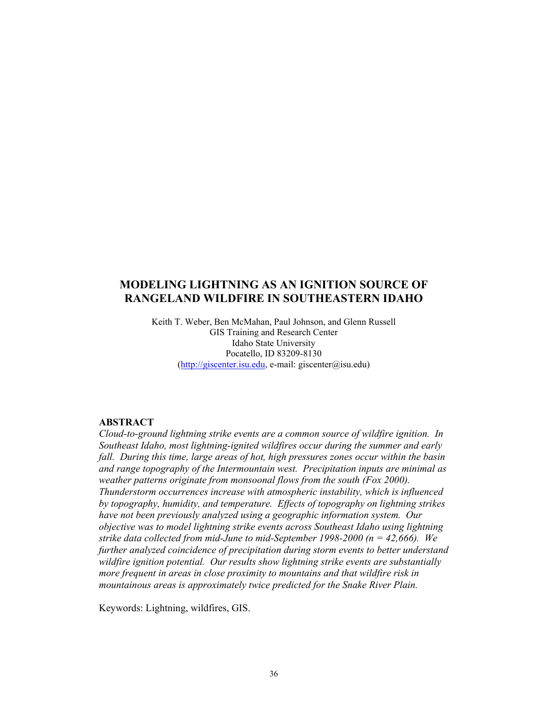## **MODELING LIGHTNING AS AN IGNITION SOURCE OF RANGELAND WILDFIRE IN SOUTHEASTERN IDAHO**

Keith T. Weber, Ben McMahan, Paul Johnson, and Glenn Russell GIS Training and Research Center Idaho State University Pocatello, ID 83209-8130  $(\frac{http://giscenter.isu.edu, e-mail: giscenter@isu.edu)}$ 

#### **ABSTRACT**

*Cloud-to-ground lightning strike events are a common source of wildfire ignition. In Southeast Idaho, most lightning-ignited wildfires occur during the summer and early fall. During this time, large areas of hot, high pressures zones occur within the basin and range topography of the Intermountain west. Precipitation inputs are minimal as weather patterns originate from monsoonal flows from the south (Fox 2000). Thunderstorm occurrences increase with atmospheric instability, which is influenced by topography, humidity, and temperature. Effects of topography on lightning strikes have not been previously analyzed using a geographic information system. Our objective was to model lightning strike events across Southeast Idaho using lightning strike data collected from mid-June to mid-September 1998-2000 (n = 42,666). We further analyzed coincidence of precipitation during storm events to better understand wildfire ignition potential. Our results show lightning strike events are substantially more frequent in areas in close proximity to mountains and that wildfire risk in mountainous areas is approximately twice predicted for the Snake River Plain.* 

Keywords: Lightning, wildfires, GIS.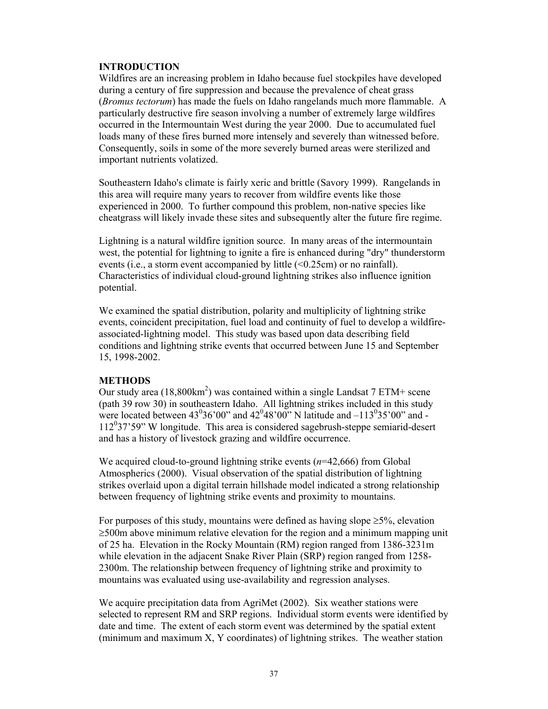## **INTRODUCTION**

Wildfires are an increasing problem in Idaho because fuel stockpiles have developed during a century of fire suppression and because the prevalence of cheat grass (*Bromus tectorum*) has made the fuels on Idaho rangelands much more flammable. A particularly destructive fire season involving a number of extremely large wildfires occurred in the Intermountain West during the year 2000. Due to accumulated fuel loads many of these fires burned more intensely and severely than witnessed before. Consequently, soils in some of the more severely burned areas were sterilized and important nutrients volatized.

Southeastern Idaho's climate is fairly xeric and brittle (Savory 1999). Rangelands in this area will require many years to recover from wildfire events like those experienced in 2000. To further compound this problem, non-native species like cheatgrass will likely invade these sites and subsequently alter the future fire regime.

Lightning is a natural wildfire ignition source. In many areas of the intermountain west, the potential for lightning to ignite a fire is enhanced during "dry" thunderstorm events (i.e., a storm event accompanied by little (<0.25cm) or no rainfall). Characteristics of individual cloud-ground lightning strikes also influence ignition potential.

We examined the spatial distribution, polarity and multiplicity of lightning strike events, coincident precipitation, fuel load and continuity of fuel to develop a wildfireassociated-lightning model. This study was based upon data describing field conditions and lightning strike events that occurred between June 15 and September 15, 1998-2002.

### **METHODS**

Our study area  $(18,800 \text{km}^2)$  was contained within a single Landsat 7 ETM+ scene (path 39 row 30) in southeastern Idaho. All lightning strikes included in this study were located between  $43^{0}36'00"$  and  $42^{0}48'00"$  N latitude and  $-113^{0}35'00"$  and -112<sup>0</sup> 37'59" W longitude. This area is considered sagebrush-steppe semiarid-desert and has a history of livestock grazing and wildfire occurrence.

We acquired cloud-to-ground lightning strike events (*n*=42,666) from Global Atmospherics (2000). Visual observation of the spatial distribution of lightning strikes overlaid upon a digital terrain hillshade model indicated a strong relationship between frequency of lightning strike events and proximity to mountains.

For purposes of this study, mountains were defined as having slope  $\geq 5\%$ , elevation ≥500m above minimum relative elevation for the region and a minimum mapping unit of 25 ha. Elevation in the Rocky Mountain (RM) region ranged from 1386-3231m while elevation in the adjacent Snake River Plain (SRP) region ranged from 1258- 2300m. The relationship between frequency of lightning strike and proximity to mountains was evaluated using use-availability and regression analyses.

We acquire precipitation data from AgriMet (2002). Six weather stations were selected to represent RM and SRP regions. Individual storm events were identified by date and time. The extent of each storm event was determined by the spatial extent (minimum and maximum X, Y coordinates) of lightning strikes. The weather station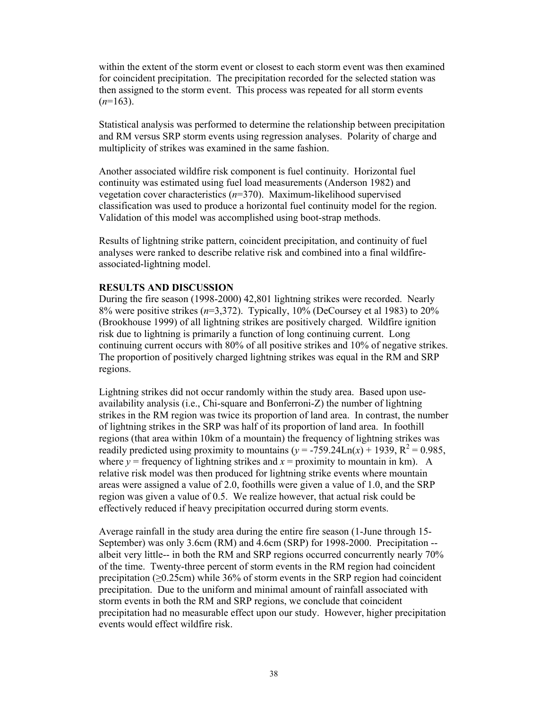within the extent of the storm event or closest to each storm event was then examined for coincident precipitation. The precipitation recorded for the selected station was then assigned to the storm event. This process was repeated for all storm events  $(n=163)$ .

Statistical analysis was performed to determine the relationship between precipitation and RM versus SRP storm events using regression analyses. Polarity of charge and multiplicity of strikes was examined in the same fashion.

Another associated wildfire risk component is fuel continuity. Horizontal fuel continuity was estimated using fuel load measurements (Anderson 1982) and vegetation cover characteristics (*n*=370). Maximum-likelihood supervised classification was used to produce a horizontal fuel continuity model for the region. Validation of this model was accomplished using boot-strap methods.

Results of lightning strike pattern, coincident precipitation, and continuity of fuel analyses were ranked to describe relative risk and combined into a final wildfireassociated-lightning model.

#### **RESULTS AND DISCUSSION**

During the fire season (1998-2000) 42,801 lightning strikes were recorded. Nearly 8% were positive strikes (*n*=3,372). Typically, 10% (DeCoursey et al 1983) to 20% (Brookhouse 1999) of all lightning strikes are positively charged. Wildfire ignition risk due to lightning is primarily a function of long continuing current. Long continuing current occurs with 80% of all positive strikes and 10% of negative strikes. The proportion of positively charged lightning strikes was equal in the RM and SRP regions.

Lightning strikes did not occur randomly within the study area. Based upon useavailability analysis (i.e., Chi-square and Bonferroni-Z) the number of lightning strikes in the RM region was twice its proportion of land area. In contrast, the number of lightning strikes in the SRP was half of its proportion of land area. In foothill regions (that area within 10km of a mountain) the frequency of lightning strikes was readily predicted using proximity to mountains  $(y = -759.24 \text{Ln}(x) + 1939, R^2 = 0.985,$ where  $y =$  frequency of lightning strikes and  $x =$  proximity to mountain in km). A relative risk model was then produced for lightning strike events where mountain areas were assigned a value of 2.0, foothills were given a value of 1.0, and the SRP region was given a value of 0.5. We realize however, that actual risk could be effectively reduced if heavy precipitation occurred during storm events.

Average rainfall in the study area during the entire fire season (1-June through 15- September) was only 3.6cm (RM) and 4.6cm (SRP) for 1998-2000. Precipitation - albeit very little-- in both the RM and SRP regions occurred concurrently nearly 70% of the time. Twenty-three percent of storm events in the RM region had coincident precipitation ( $\geq 0.25$ cm) while 36% of storm events in the SRP region had coincident precipitation. Due to the uniform and minimal amount of rainfall associated with storm events in both the RM and SRP regions, we conclude that coincident precipitation had no measurable effect upon our study. However, higher precipitation events would effect wildfire risk.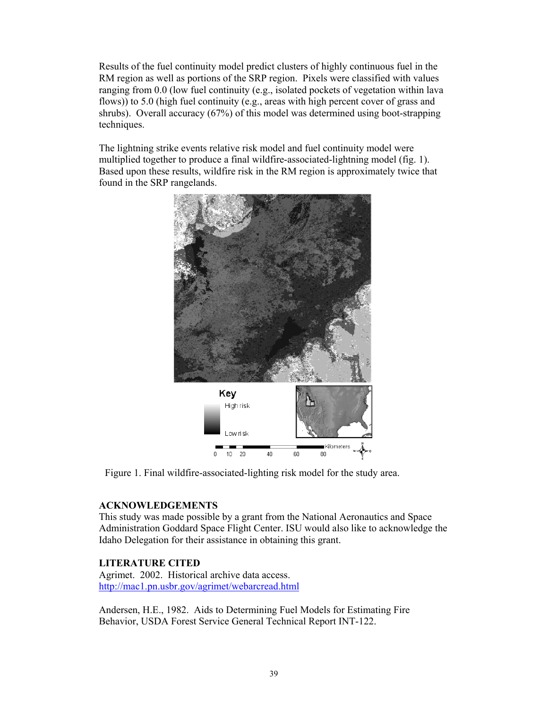Results of the fuel continuity model predict clusters of highly continuous fuel in the RM region as well as portions of the SRP region. Pixels were classified with values ranging from 0.0 (low fuel continuity (e.g., isolated pockets of vegetation within lava flows)) to 5.0 (high fuel continuity (e.g., areas with high percent cover of grass and shrubs). Overall accuracy (67%) of this model was determined using boot-strapping techniques.

The lightning strike events relative risk model and fuel continuity model were multiplied together to produce a final wildfire-associated-lightning model (fig. 1). Based upon these results, wildfire risk in the RM region is approximately twice that found in the SRP rangelands.



Figure 1. Final wildfire-associated-lighting risk model for the study area.

## **ACKNOWLEDGEMENTS**

This study was made possible by a grant from the National Aeronautics and Space Administration Goddard Space Flight Center. ISU would also like to acknowledge the Idaho Delegation for their assistance in obtaining this grant.

# **LITERATURE CITED**

Agrimet. 2002. Historical archive data access. http://mac1.pn.usbr.gov/agrimet/webarcread.html

Andersen, H.E., 1982. Aids to Determining Fuel Models for Estimating Fire Behavior, USDA Forest Service General Technical Report INT-122.